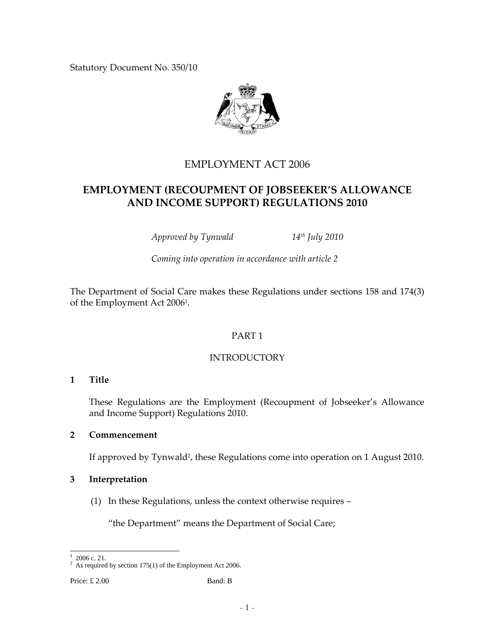Statutory Document No. 350/10



# EMPLOYMENT ACT 2006

# **EMPLOYMENT (RECOUPMENT OF JOBSEEKER'S ALLOWANCE AND INCOME SUPPORT) REGULATIONS 2010**

*Approved by Tynwald 14th July 2010*

*Coming into operation in accordance with article 2*

The Department of Social Care makes these Regulations under sections 158 and 174(3) of the Employment Act 20061.

## PART 1

## INTRODUCTORY

#### **1 Title**

These Regulations are the Employment (Recoupment of Jobseeker's Allowance and Income Support) Regulations 2010.

#### **2 Commencement**

If approved by Tynwald<sup>2</sup>, these Regulations come into operation on 1 August 2010.

#### **3 Interpretation**

(1) In these Regulations, unless the context otherwise requires –

"the Department" means the Department of Social Care;

Price: £ 2.00 Band: B

 $\overline{\phantom{a}}$ 1 2006 c. 21.

<sup>&</sup>lt;sup>2</sup> As required by section 175(1) of the Employment Act 2006.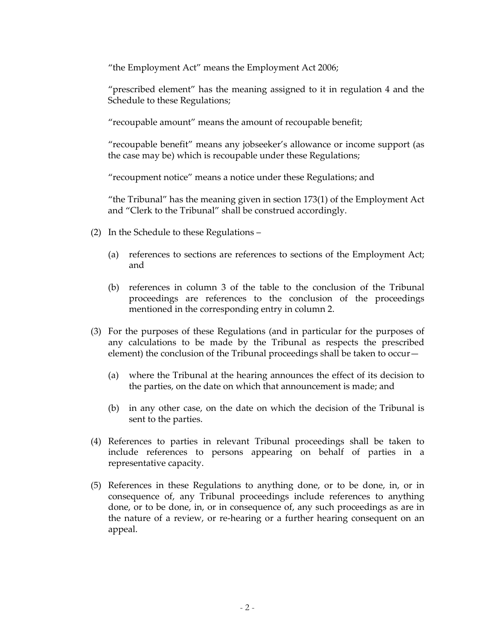"the Employment Act" means the Employment Act 2006;

"prescribed element" has the meaning assigned to it in regulation 4 and the Schedule to these Regulations;

"recoupable amount" means the amount of recoupable benefit;

"recoupable benefit" means any jobseeker's allowance or income support (as the case may be) which is recoupable under these Regulations;

"recoupment notice" means a notice under these Regulations; and

"the Tribunal" has the meaning given in section 173(1) of the Employment Act and "Clerk to the Tribunal" shall be construed accordingly.

- (2) In the Schedule to these Regulations
	- (a) references to sections are references to sections of the Employment Act; and
	- (b) references in column 3 of the table to the conclusion of the Tribunal proceedings are references to the conclusion of the proceedings mentioned in the corresponding entry in column 2.
- (3) For the purposes of these Regulations (and in particular for the purposes of any calculations to be made by the Tribunal as respects the prescribed element) the conclusion of the Tribunal proceedings shall be taken to occur—
	- (a) where the Tribunal at the hearing announces the effect of its decision to the parties, on the date on which that announcement is made; and
	- (b) in any other case, on the date on which the decision of the Tribunal is sent to the parties.
- (4) References to parties in relevant Tribunal proceedings shall be taken to include references to persons appearing on behalf of parties in a representative capacity.
- (5) References in these Regulations to anything done, or to be done, in, or in consequence of, any Tribunal proceedings include references to anything done, or to be done, in, or in consequence of, any such proceedings as are in the nature of a review, or re‐hearing or a further hearing consequent on an appeal.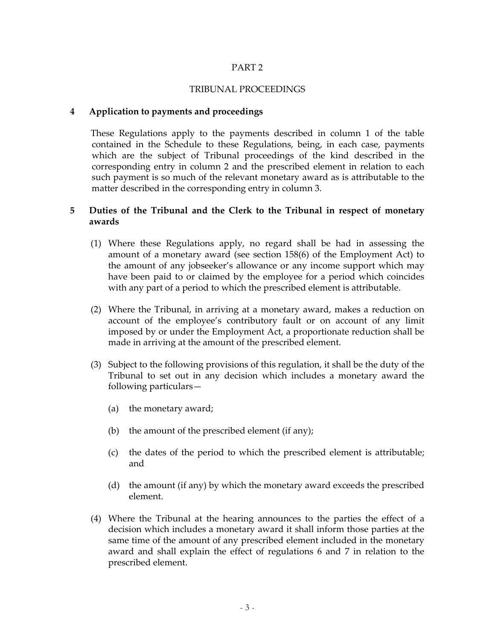#### PART 2

#### TRIBUNAL PROCEEDINGS

#### **4 Application to payments and proceedings**

These Regulations apply to the payments described in column 1 of the table contained in the Schedule to these Regulations, being, in each case, payments which are the subject of Tribunal proceedings of the kind described in the corresponding entry in column 2 and the prescribed element in relation to each such payment is so much of the relevant monetary award as is attributable to the matter described in the corresponding entry in column 3.

#### **5 Duties of the Tribunal and the Clerk to the Tribunal in respect of monetary awards**

- (1) Where these Regulations apply, no regard shall be had in assessing the amount of a monetary award (see section 158(6) of the Employment Act) to the amount of any jobseeker's allowance or any income support which may have been paid to or claimed by the employee for a period which coincides with any part of a period to which the prescribed element is attributable.
- (2) Where the Tribunal, in arriving at a monetary award, makes a reduction on account of the employee's contributory fault or on account of any limit imposed by or under the Employment Act, a proportionate reduction shall be made in arriving at the amount of the prescribed element.
- (3) Subject to the following provisions of this regulation, it shall be the duty of the Tribunal to set out in any decision which includes a monetary award the following particulars—
	- (a) the monetary award;
	- (b) the amount of the prescribed element (if any);
	- (c) the dates of the period to which the prescribed element is attributable; and
	- (d) the amount (if any) by which the monetary award exceeds the prescribed element.
- (4) Where the Tribunal at the hearing announces to the parties the effect of a decision which includes a monetary award it shall inform those parties at the same time of the amount of any prescribed element included in the monetary award and shall explain the effect of regulations 6 and 7 in relation to the prescribed element.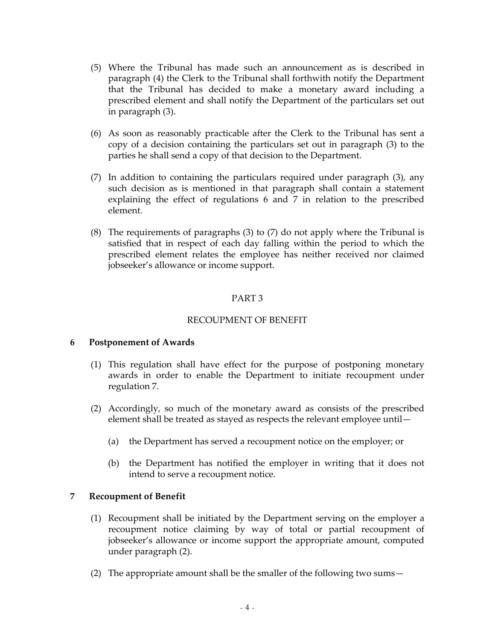- (5) Where the Tribunal has made such an announcement as is described in paragraph (4) the Clerk to the Tribunal shall forthwith notify the Department that the Tribunal has decided to make a monetary award including a prescribed element and shall notify the Department of the particulars set out in paragraph (3).
- (6) As soon as reasonably practicable after the Clerk to the Tribunal has sent a copy of a decision containing the particulars set out in paragraph (3) to the parties he shall send a copy of that decision to the Department.
- (7) In addition to containing the particulars required under paragraph (3), any such decision as is mentioned in that paragraph shall contain a statement explaining the effect of regulations 6 and 7 in relation to the prescribed element.
- (8) The requirements of paragraphs (3) to (7) do not apply where the Tribunal is satisfied that in respect of each day falling within the period to which the prescribed element relates the employee has neither received nor claimed jobseeker's allowance or income support.

#### PART 3

#### RECOUPMENT OF BENEFIT

#### **6 Postponement of Awards**

- (1) This regulation shall have effect for the purpose of postponing monetary awards in order to enable the Department to initiate recoupment under regulation 7.
- (2) Accordingly, so much of the monetary award as consists of the prescribed element shall be treated as stayed as respects the relevant employee until—
	- (a) the Department has served a recoupment notice on the employer; or
	- (b) the Department has notified the employer in writing that it does not intend to serve a recoupment notice.

#### **7 Recoupment of Benefit**

- (1) Recoupment shall be initiated by the Department serving on the employer a recoupment notice claiming by way of total or partial recoupment of jobseeker's allowance or income support the appropriate amount, computed under paragraph (2).
- (2) The appropriate amount shall be the smaller of the following two sums—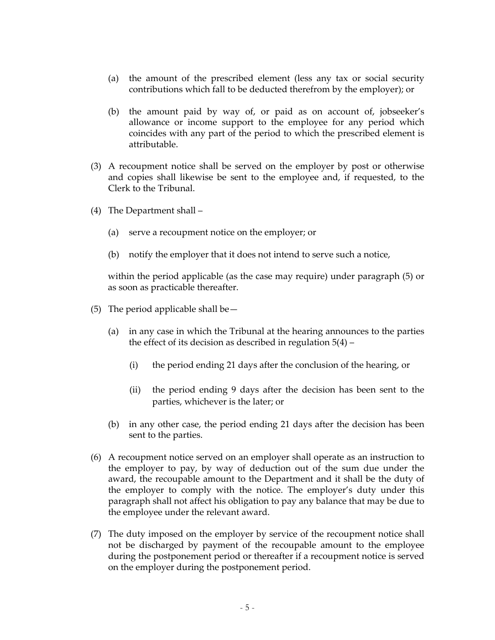- (a) the amount of the prescribed element (less any tax or social security contributions which fall to be deducted therefrom by the employer); or
- (b) the amount paid by way of, or paid as on account of, jobseeker's allowance or income support to the employee for any period which coincides with any part of the period to which the prescribed element is attributable.
- (3) A recoupment notice shall be served on the employer by post or otherwise and copies shall likewise be sent to the employee and, if requested, to the Clerk to the Tribunal.
- (4) The Department shall
	- (a) serve a recoupment notice on the employer; or
	- (b) notify the employer that it does not intend to serve such a notice,

within the period applicable (as the case may require) under paragraph (5) or as soon as practicable thereafter.

- (5) The period applicable shall be  $-$ 
	- (a) in any case in which the Tribunal at the hearing announces to the parties the effect of its decision as described in regulation 5(4) –
		- (i) the period ending 21 days after the conclusion of the hearing, or
		- (ii) the period ending 9 days after the decision has been sent to the parties, whichever is the later; or
	- (b) in any other case, the period ending 21 days after the decision has been sent to the parties.
- (6) A recoupment notice served on an employer shall operate as an instruction to the employer to pay, by way of deduction out of the sum due under the award, the recoupable amount to the Department and it shall be the duty of the employer to comply with the notice. The employer's duty under this paragraph shall not affect his obligation to pay any balance that may be due to the employee under the relevant award.
- (7) The duty imposed on the employer by service of the recoupment notice shall not be discharged by payment of the recoupable amount to the employee during the postponement period or thereafter if a recoupment notice is served on the employer during the postponement period.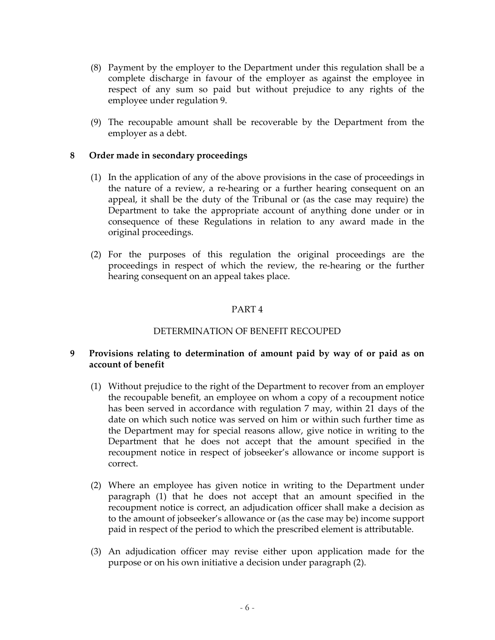- (8) Payment by the employer to the Department under this regulation shall be a complete discharge in favour of the employer as against the employee in respect of any sum so paid but without prejudice to any rights of the employee under regulation 9.
- (9) The recoupable amount shall be recoverable by the Department from the employer as a debt.

#### **8 Order made in secondary proceedings**

- (1) In the application of any of the above provisions in the case of proceedings in the nature of a review, a re‐hearing or a further hearing consequent on an appeal, it shall be the duty of the Tribunal or (as the case may require) the Department to take the appropriate account of anything done under or in consequence of these Regulations in relation to any award made in the original proceedings.
- (2) For the purposes of this regulation the original proceedings are the proceedings in respect of which the review, the re‐hearing or the further hearing consequent on an appeal takes place.

## PART 4

#### DETERMINATION OF BENEFIT RECOUPED

#### **9 Provisions relating to determination of amount paid by way of or paid as on account of benefit**

- (1) Without prejudice to the right of the Department to recover from an employer the recoupable benefit, an employee on whom a copy of a recoupment notice has been served in accordance with regulation 7 may, within 21 days of the date on which such notice was served on him or within such further time as the Department may for special reasons allow, give notice in writing to the Department that he does not accept that the amount specified in the recoupment notice in respect of jobseeker's allowance or income support is correct.
- (2) Where an employee has given notice in writing to the Department under paragraph (1) that he does not accept that an amount specified in the recoupment notice is correct, an adjudication officer shall make a decision as to the amount of jobseeker's allowance or (as the case may be) income support paid in respect of the period to which the prescribed element is attributable.
- (3) An adjudication officer may revise either upon application made for the purpose or on his own initiative a decision under paragraph (2).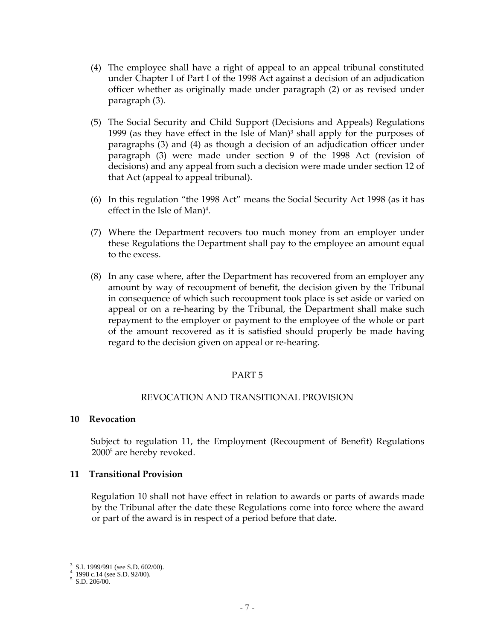- (4) The employee shall have a right of appeal to an appeal tribunal constituted under Chapter I of Part I of the 1998 Act against a decision of an adjudication officer whether as originally made under paragraph (2) or as revised under paragraph (3).
- (5) The Social Security and Child Support (Decisions and Appeals) Regulations 1999 (as they have effect in the Isle of Man)<sup>3</sup> shall apply for the purposes of paragraphs (3) and (4) as though a decision of an adjudication officer under paragraph (3) were made under section 9 of the 1998 Act (revision of decisions) and any appeal from such a decision were made under section 12 of that Act (appeal to appeal tribunal).
- (6) In this regulation "the 1998 Act" means the Social Security Act 1998 (as it has effect in the Isle of Man)4.
- (7) Where the Department recovers too much money from an employer under these Regulations the Department shall pay to the employee an amount equal to the excess.
- (8) In any case where, after the Department has recovered from an employer any amount by way of recoupment of benefit, the decision given by the Tribunal in consequence of which such recoupment took place is set aside or varied on appeal or on a re‐hearing by the Tribunal, the Department shall make such repayment to the employer or payment to the employee of the whole or part of the amount recovered as it is satisfied should properly be made having regard to the decision given on appeal or re‐hearing.

## PART 5

#### REVOCATION AND TRANSITIONAL PROVISION

#### **10 Revocation**

Subject to regulation 11, the Employment (Recoupment of Benefit) Regulations 20005 are hereby revoked.

#### **11 Transitional Provision**

Regulation 10 shall not have effect in relation to awards or parts of awards made by the Tribunal after the date these Regulations come into force where the award or part of the award is in respect of a period before that date.

 $\overline{a}$ 3 S.I. 1999/991 (see S.D. 602/00).

<sup>4</sup> 1998 c.14 (see S.D. 92/00).

<sup>5</sup> S.D. 206/00.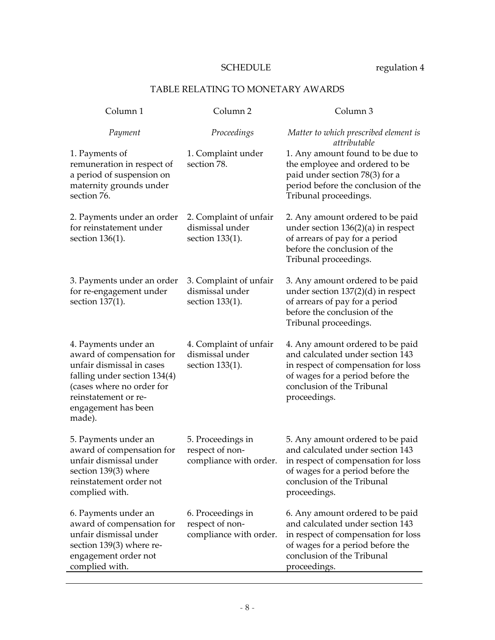# SCHEDULE regulation 4

# TABLE RELATING TO MONETARY AWARDS

| Column <sub>1</sub>                                                                                                                                                                                  | Column <sub>2</sub>                                            | Column <sub>3</sub>                                                                                                                                                                           |
|------------------------------------------------------------------------------------------------------------------------------------------------------------------------------------------------------|----------------------------------------------------------------|-----------------------------------------------------------------------------------------------------------------------------------------------------------------------------------------------|
| Payment                                                                                                                                                                                              | Proceedings                                                    | Matter to which prescribed element is<br>attributable                                                                                                                                         |
| 1. Payments of<br>remuneration in respect of<br>a period of suspension on<br>maternity grounds under<br>section 76.                                                                                  | 1. Complaint under<br>section 78.                              | 1. Any amount found to be due to<br>the employee and ordered to be<br>paid under section 78(3) for a<br>period before the conclusion of the<br>Tribunal proceedings.                          |
| 2. Payments under an order<br>for reinstatement under<br>section 136(1).                                                                                                                             | 2. Complaint of unfair<br>dismissal under<br>section 133(1).   | 2. Any amount ordered to be paid<br>under section $136(2)(a)$ in respect<br>of arrears of pay for a period<br>before the conclusion of the<br>Tribunal proceedings.                           |
| 3. Payments under an order<br>for re-engagement under<br>section 137(1).                                                                                                                             | 3. Complaint of unfair<br>dismissal under<br>section 133(1).   | 3. Any amount ordered to be paid<br>under section $137(2)(d)$ in respect<br>of arrears of pay for a period<br>before the conclusion of the<br>Tribunal proceedings.                           |
| 4. Payments under an<br>award of compensation for<br>unfair dismissal in cases<br>falling under section 134(4)<br>(cases where no order for<br>reinstatement or re-<br>engagement has been<br>made). | 4. Complaint of unfair<br>dismissal under<br>section 133(1).   | 4. Any amount ordered to be paid<br>and calculated under section 143<br>in respect of compensation for loss<br>of wages for a period before the<br>conclusion of the Tribunal<br>proceedings. |
| 5. Payments under an<br>award of compensation for<br>unfair dismissal under<br>section 139(3) where<br>reinstatement order not<br>complied with.                                                     | 5. Proceedings in<br>respect of non-<br>compliance with order. | 5. Any amount ordered to be paid<br>and calculated under section 143<br>in respect of compensation for loss<br>of wages for a period before the<br>conclusion of the Tribunal<br>proceedings. |
| 6. Payments under an<br>award of compensation for<br>unfair dismissal under<br>section 139(3) where re-<br>engagement order not<br>complied with.                                                    | 6. Proceedings in<br>respect of non-<br>compliance with order. | 6. Any amount ordered to be paid<br>and calculated under section 143<br>in respect of compensation for loss<br>of wages for a period before the<br>conclusion of the Tribunal<br>proceedings. |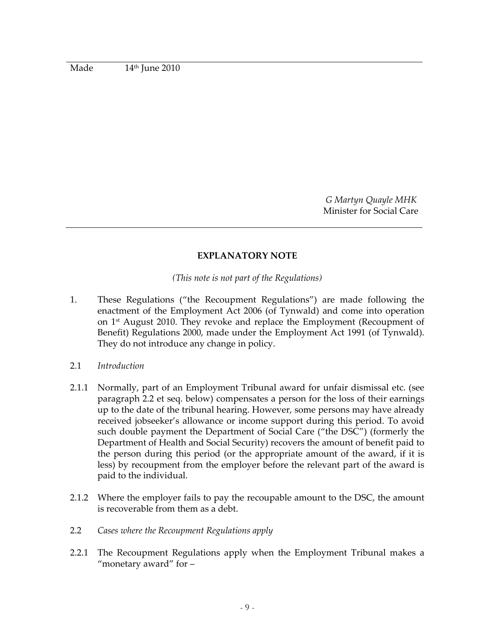Made 14th June 2010

*G Martyn Quayle MHK* Minister for Social Care

#### **EXPLANATORY NOTE**

*(This note is not part of the Regulations)*

- 1. These Regulations ("the Recoupment Regulations") are made following the enactment of the Employment Act 2006 (of Tynwald) and come into operation on 1st August 2010. They revoke and replace the Employment (Recoupment of Benefit) Regulations 2000, made under the Employment Act 1991 (of Tynwald). They do not introduce any change in policy.
- 2.1 *Introduction*
- 2.1.1 Normally, part of an Employment Tribunal award for unfair dismissal etc. (see paragraph 2.2 et seq. below) compensates a person for the loss of their earnings up to the date of the tribunal hearing. However, some persons may have already received jobseeker's allowance or income support during this period. To avoid such double payment the Department of Social Care ("the DSC") (formerly the Department of Health and Social Security) recovers the amount of benefit paid to the person during this period (or the appropriate amount of the award, if it is less) by recoupment from the employer before the relevant part of the award is paid to the individual.
- 2.1.2 Where the employer fails to pay the recoupable amount to the DSC, the amount is recoverable from them as a debt.
- 2.2 *Cases where the Recoupment Regulations apply*
- 2.2.1 The Recoupment Regulations apply when the Employment Tribunal makes a "monetary award" for –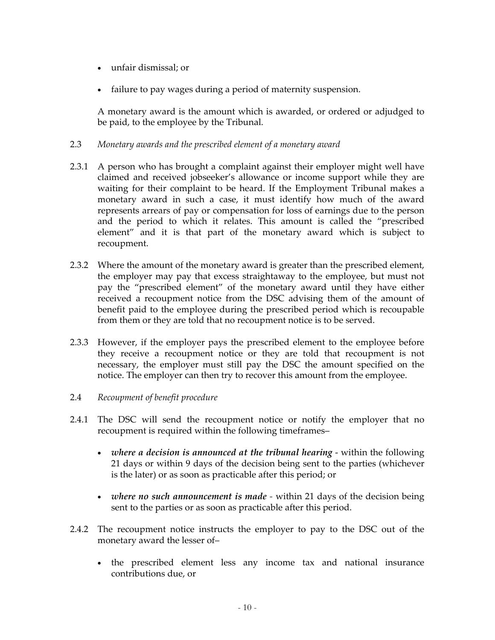- unfair dismissal; or
- failure to pay wages during a period of maternity suspension.

A monetary award is the amount which is awarded, or ordered or adjudged to be paid, to the employee by the Tribunal.

## 2.3 *Monetary awards and the prescribed element of a monetary award*

- 2.3.1 A person who has brought a complaint against their employer might well have claimed and received jobseeker's allowance or income support while they are waiting for their complaint to be heard. If the Employment Tribunal makes a monetary award in such a case, it must identify how much of the award represents arrears of pay or compensation for loss of earnings due to the person and the period to which it relates. This amount is called the "prescribed element" and it is that part of the monetary award which is subject to recoupment.
- 2.3.2 Where the amount of the monetary award is greater than the prescribed element, the employer may pay that excess straightaway to the employee, but must not pay the "prescribed element" of the monetary award until they have either received a recoupment notice from the DSC advising them of the amount of benefit paid to the employee during the prescribed period which is recoupable from them or they are told that no recoupment notice is to be served.
- 2.3.3 However, if the employer pays the prescribed element to the employee before they receive a recoupment notice or they are told that recoupment is not necessary, the employer must still pay the DSC the amount specified on the notice. The employer can then try to recover this amount from the employee.
- 2.4 *Recoupment of benefit procedure*
- 2.4.1 The DSC will send the recoupment notice or notify the employer that no recoupment is required within the following timeframes–
	- *where a decision is announced at the tribunal hearing* ‐ within the following 21 days or within 9 days of the decision being sent to the parties (whichever is the later) or as soon as practicable after this period; or
	- *where no such announcement is made ‐* within 21 days of the decision being sent to the parties or as soon as practicable after this period.
- 2.4.2 The recoupment notice instructs the employer to pay to the DSC out of the monetary award the lesser of–
	- the prescribed element less any income tax and national insurance contributions due, or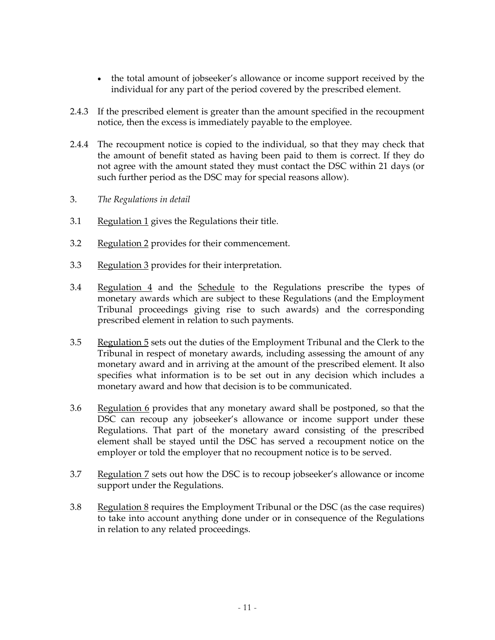- the total amount of jobseeker's allowance or income support received by the individual for any part of the period covered by the prescribed element.
- 2.4.3 If the prescribed element is greater than the amount specified in the recoupment notice, then the excess is immediately payable to the employee.
- 2.4.4 The recoupment notice is copied to the individual, so that they may check that the amount of benefit stated as having been paid to them is correct. If they do not agree with the amount stated they must contact the DSC within 21 days (or such further period as the DSC may for special reasons allow).
- 3. *The Regulations in detail*
- 3.1 Regulation 1 gives the Regulations their title.
- 3.2 Regulation 2 provides for their commencement.
- 3.3 Regulation 3 provides for their interpretation.
- 3.4 Regulation 4 and the Schedule to the Regulations prescribe the types of monetary awards which are subject to these Regulations (and the Employment Tribunal proceedings giving rise to such awards) and the corresponding prescribed element in relation to such payments.
- 3.5 Regulation 5 sets out the duties of the Employment Tribunal and the Clerk to the Tribunal in respect of monetary awards, including assessing the amount of any monetary award and in arriving at the amount of the prescribed element. It also specifies what information is to be set out in any decision which includes a monetary award and how that decision is to be communicated.
- 3.6 Regulation 6 provides that any monetary award shall be postponed, so that the DSC can recoup any jobseeker's allowance or income support under these Regulations. That part of the monetary award consisting of the prescribed element shall be stayed until the DSC has served a recoupment notice on the employer or told the employer that no recoupment notice is to be served.
- 3.7 Regulation 7 sets out how the DSC is to recoup jobseeker's allowance or income support under the Regulations.
- 3.8 Regulation  $\frac{8}{5}$  requires the Employment Tribunal or the DSC (as the case requires) to take into account anything done under or in consequence of the Regulations in relation to any related proceedings.